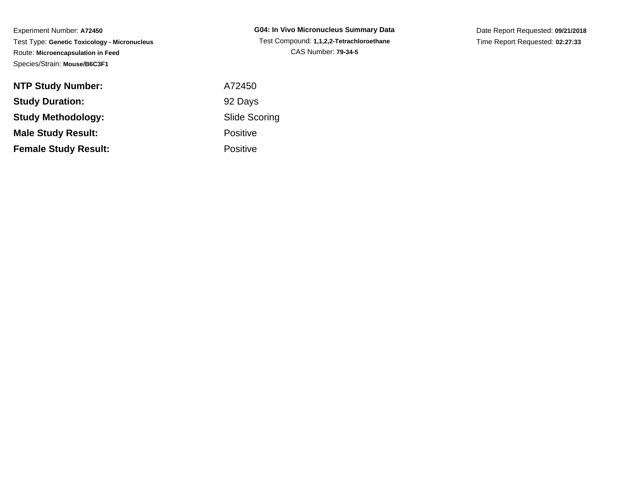| <b>NTP Study Number:</b>    | A72450          |
|-----------------------------|-----------------|
| <b>Study Duration:</b>      | 92 Days         |
| <b>Study Methodology:</b>   | Slide Sc        |
| <b>Male Study Result:</b>   | <b>Positive</b> |
| <b>Female Study Result:</b> | <b>Positive</b> |

**G04: In Vivo Micronucleus Summary Data** Test Compound: **1,1,2,2-Tetrachloroethane**CAS Number: **79-34-5**

Date Report Requested: **09/21/2018**Time Report Requested: **02:27:33**

Scoring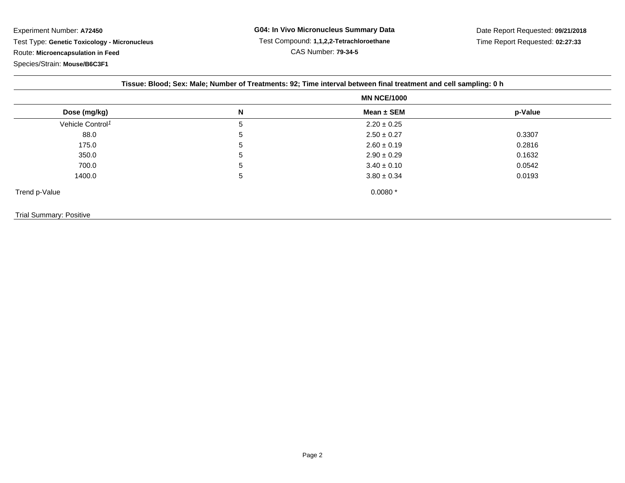|  | Tissue: Blood; Sex: Male; Number of Treatments: 92; Time interval between final treatment and cell sampling: 0 h |
|--|------------------------------------------------------------------------------------------------------------------|
|  |                                                                                                                  |

|                              | <b>MN NCE/1000</b> |                 |         |  |  |
|------------------------------|--------------------|-----------------|---------|--|--|
| Dose (mg/kg)                 | N                  | Mean $\pm$ SEM  | p-Value |  |  |
| Vehicle Control <sup>1</sup> | 5                  | $2.20 \pm 0.25$ |         |  |  |
| 88.0                         | 5                  | $2.50 \pm 0.27$ | 0.3307  |  |  |
| 175.0                        | 5                  | $2.60 \pm 0.19$ | 0.2816  |  |  |
| 350.0                        | 5                  | $2.90 \pm 0.29$ | 0.1632  |  |  |
| 700.0                        | 5                  | $3.40 \pm 0.10$ | 0.0542  |  |  |
| 1400.0                       | 5                  | $3.80 \pm 0.34$ | 0.0193  |  |  |
| Trend p-Value                |                    | $0.0080*$       |         |  |  |

## Trial Summary: Positive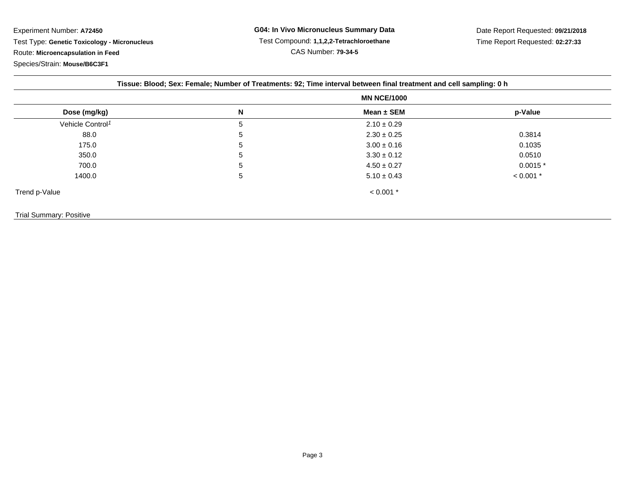|                              | <b>MN NCE/1000</b> |                 |             |
|------------------------------|--------------------|-----------------|-------------|
| Dose (mg/kg)                 | N                  | Mean $\pm$ SEM  | p-Value     |
| Vehicle Control <sup>1</sup> | 5                  | $2.10 \pm 0.29$ |             |
| 88.0                         | 5                  | $2.30 \pm 0.25$ | 0.3814      |
| 175.0                        | 5                  | $3.00 \pm 0.16$ | 0.1035      |
| 350.0                        | 5                  | $3.30 \pm 0.12$ | 0.0510      |
| 700.0                        | 5                  | $4.50 \pm 0.27$ | $0.0015*$   |
| 1400.0                       | 5                  | $5.10 \pm 0.43$ | $< 0.001$ * |
| Trend p-Value                |                    | $< 0.001$ *     |             |